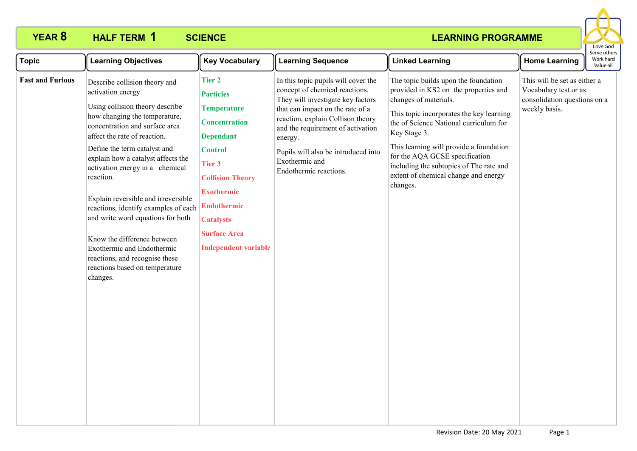

| <b>Topic</b>            | <b>Learning Objectives</b>                                                                                                                                                                                                                                                                                                                                                                                                                                                                                                                                                      | <b>Key Vocabulary</b>                                                                                                                                                                                                                                                           | <b>Learning Sequence</b>                                                                                                                                                                                                                                                                                               | <b>Linked Learning</b>                                                                                                                                                                                                                                                                                                                                                                   | <b>Home Learning</b>                                                                                   | Serve other<br>Work hard<br>Value all |
|-------------------------|---------------------------------------------------------------------------------------------------------------------------------------------------------------------------------------------------------------------------------------------------------------------------------------------------------------------------------------------------------------------------------------------------------------------------------------------------------------------------------------------------------------------------------------------------------------------------------|---------------------------------------------------------------------------------------------------------------------------------------------------------------------------------------------------------------------------------------------------------------------------------|------------------------------------------------------------------------------------------------------------------------------------------------------------------------------------------------------------------------------------------------------------------------------------------------------------------------|------------------------------------------------------------------------------------------------------------------------------------------------------------------------------------------------------------------------------------------------------------------------------------------------------------------------------------------------------------------------------------------|--------------------------------------------------------------------------------------------------------|---------------------------------------|
| <b>Fast and Furious</b> | Describe collision theory and<br>activation energy<br>Using collision theory describe<br>how changing the temperature,<br>concentration and surface area<br>affect the rate of reaction.<br>Define the term catalyst and<br>explain how a catalyst affects the<br>activation energy in a chemical<br>reaction.<br>Explain reversible and irreversible<br>reactions, identify examples of each<br>and write word equations for both<br>Know the difference between<br>Exothermic and Endothermic<br>reactions, and recognise these<br>reactions based on temperature<br>changes. | <b>Tier 2</b><br><b>Particles</b><br><b>Temperature</b><br><b>Concentration</b><br><b>Dependant</b><br><b>Control</b><br>Tier 3<br><b>Collision Theory</b><br><b>Exothermic</b><br><b>Endothermic</b><br><b>Catalysts</b><br><b>Surface Area</b><br><b>Independent variable</b> | In this topic pupils will cover the<br>concept of chemical reactions.<br>They will investigate key factors<br>that can impact on the rate of a<br>reaction, explain Collison theory<br>and the requirement of activation<br>energy.<br>Pupils will also be introduced into<br>Exothermic and<br>Endothermic reactions. | The topic builds upon the foundation<br>provided in KS2 on the properties and<br>changes of materials.<br>This topic incorporates the key learning<br>the of Science National curriculum for<br>Key Stage 3.<br>This learning will provide a foundation<br>for the AQA GCSE specification<br>including the subtopics of The rate and<br>extent of chemical change and energy<br>changes. | This will be set as either a<br>Vocabulary test or as<br>consolidation questions on a<br>weekly basis. |                                       |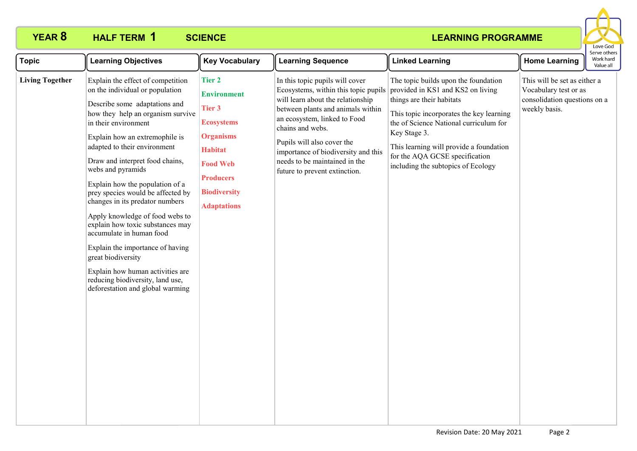

| <b>Topic</b>           | <b>Learning Objectives</b>                                                                                                                                                                                                                                                                                                                                                                                                                                                                                                                                                                                                                                                       | <b>Key Vocabulary</b>                                                                                                                                                                               | <b>Learning Sequence</b>                                                                                                                                                                                                                                                                                                                     | <b>Linked Learning</b>                                                                                                                                                                                                                                                                                                          | <b>Home Learning</b>                                                                                   | Serve others<br>Work hard<br>Value all |
|------------------------|----------------------------------------------------------------------------------------------------------------------------------------------------------------------------------------------------------------------------------------------------------------------------------------------------------------------------------------------------------------------------------------------------------------------------------------------------------------------------------------------------------------------------------------------------------------------------------------------------------------------------------------------------------------------------------|-----------------------------------------------------------------------------------------------------------------------------------------------------------------------------------------------------|----------------------------------------------------------------------------------------------------------------------------------------------------------------------------------------------------------------------------------------------------------------------------------------------------------------------------------------------|---------------------------------------------------------------------------------------------------------------------------------------------------------------------------------------------------------------------------------------------------------------------------------------------------------------------------------|--------------------------------------------------------------------------------------------------------|----------------------------------------|
| <b>Living Together</b> | Explain the effect of competition<br>on the individual or population<br>Describe some adaptations and<br>how they help an organism survive<br>in their environment<br>Explain how an extremophile is<br>adapted to their environment<br>Draw and interpret food chains,<br>webs and pyramids<br>Explain how the population of a<br>prey species would be affected by<br>changes in its predator numbers<br>Apply knowledge of food webs to<br>explain how toxic substances may<br>accumulate in human food<br>Explain the importance of having<br>great biodiversity<br>Explain how human activities are<br>reducing biodiversity, land use,<br>deforestation and global warming | <b>Tier 2</b><br><b>Environment</b><br><b>Tier 3</b><br><b>Ecosystems</b><br><b>Organisms</b><br><b>Habitat</b><br><b>Food Web</b><br><b>Producers</b><br><b>Biodiversity</b><br><b>Adaptations</b> | In this topic pupils will cover<br>Ecosystems, within this topic pupils<br>will learn about the relationship<br>between plants and animals within<br>an ecosystem, linked to Food<br>chains and webs.<br>Pupils will also cover the<br>importance of biodiversity and this<br>needs to be maintained in the<br>future to prevent extinction. | The topic builds upon the foundation<br>provided in KS1 and KS2 on living<br>things are their habitats<br>This topic incorporates the key learning<br>the of Science National curriculum for<br>Key Stage 3.<br>This learning will provide a foundation<br>for the AQA GCSE specification<br>including the subtopics of Ecology | This will be set as either a<br>Vocabulary test or as<br>consolidation questions on a<br>weekly basis. |                                        |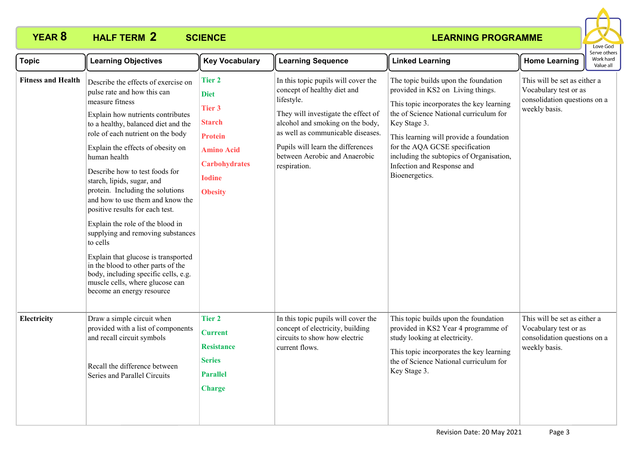

| <b>Topic</b>              | <b>Learning Objectives</b>                                                                                                                                                                                                                                                                                                                                                                                                                                                                                                                                                                                                                                                                                       | <b>Key Vocabulary</b>                                                                                                                                            | <b>Learning Sequence</b>                                                                                                                                                                                                                                                               | <b>Linked Learning</b>                                                                                                                                                                                                                                                                                                                                   | <b>Home Learning</b>                                                                                   | Serve others<br>Work hard<br>Value all |
|---------------------------|------------------------------------------------------------------------------------------------------------------------------------------------------------------------------------------------------------------------------------------------------------------------------------------------------------------------------------------------------------------------------------------------------------------------------------------------------------------------------------------------------------------------------------------------------------------------------------------------------------------------------------------------------------------------------------------------------------------|------------------------------------------------------------------------------------------------------------------------------------------------------------------|----------------------------------------------------------------------------------------------------------------------------------------------------------------------------------------------------------------------------------------------------------------------------------------|----------------------------------------------------------------------------------------------------------------------------------------------------------------------------------------------------------------------------------------------------------------------------------------------------------------------------------------------------------|--------------------------------------------------------------------------------------------------------|----------------------------------------|
| <b>Fitness and Health</b> | Describe the effects of exercise on<br>pulse rate and how this can<br>measure fitness<br>Explain how nutrients contributes<br>to a healthy, balanced diet and the<br>role of each nutrient on the body<br>Explain the effects of obesity on<br>human health<br>Describe how to test foods for<br>starch, lipids, sugar, and<br>protein. Including the solutions<br>and how to use them and know the<br>positive results for each test.<br>Explain the role of the blood in<br>supplying and removing substances<br>to cells<br>Explain that glucose is transported<br>in the blood to other parts of the<br>body, including specific cells, e.g.<br>muscle cells, where glucose can<br>become an energy resource | <b>Tier 2</b><br><b>Diet</b><br><b>Tier 3</b><br><b>Starch</b><br><b>Protein</b><br><b>Amino Acid</b><br><b>Carbohydrates</b><br><b>Iodine</b><br><b>Obesity</b> | In this topic pupils will cover the<br>concept of healthy diet and<br>lifestyle.<br>They will investigate the effect of<br>alcohol and smoking on the body,<br>as well as communicable diseases.<br>Pupils will learn the differences<br>between Aerobic and Anaerobic<br>respiration. | The topic builds upon the foundation<br>provided in KS2 on Living things.<br>This topic incorporates the key learning<br>the of Science National curriculum for<br>Key Stage 3.<br>This learning will provide a foundation<br>for the AQA GCSE specification<br>including the subtopics of Organisation,<br>Infection and Response and<br>Bioenergetics. | This will be set as either a<br>Vocabulary test or as<br>consolidation questions on a<br>weekly basis. |                                        |
| Electricity               | Draw a simple circuit when<br>provided with a list of components<br>and recall circuit symbols<br>Recall the difference between<br>Series and Parallel Circuits                                                                                                                                                                                                                                                                                                                                                                                                                                                                                                                                                  | <b>Tier 2</b><br><b>Current</b><br><b>Resistance</b><br><b>Series</b><br><b>Parallel</b><br><b>Charge</b>                                                        | In this topic pupils will cover the<br>concept of electricity, building<br>circuits to show how electric<br>current flows.                                                                                                                                                             | This topic builds upon the foundation<br>provided in KS2 Year 4 programme of<br>study looking at electricity.<br>This topic incorporates the key learning<br>the of Science National curriculum for<br>Key Stage 3.                                                                                                                                      | This will be set as either a<br>Vocabulary test or as<br>consolidation questions on a<br>weekly basis. |                                        |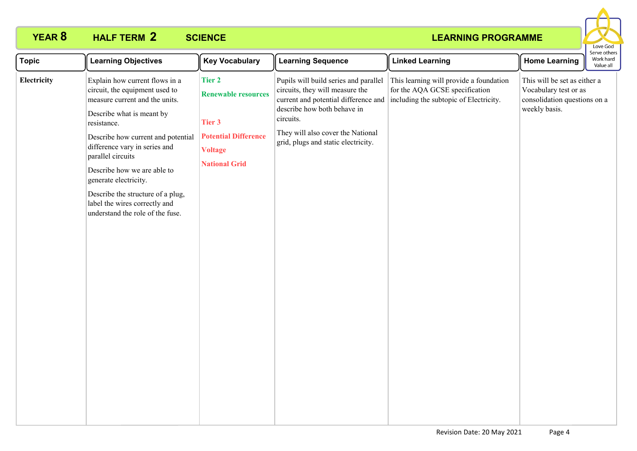

| <b>Topic</b> | <b>Learning Objectives</b>                                                                                                                                                                                                                                                                                                                                                                                   | <b>Key Vocabulary</b>                                                                                                          | <b>Learning Sequence</b>                                                                                                                                                                                                                 | <b>Linked Learning</b>                                                                                              | <b>Home Learning</b>                                                                                   | Serve other<br>Work hard<br>Value all |
|--------------|--------------------------------------------------------------------------------------------------------------------------------------------------------------------------------------------------------------------------------------------------------------------------------------------------------------------------------------------------------------------------------------------------------------|--------------------------------------------------------------------------------------------------------------------------------|------------------------------------------------------------------------------------------------------------------------------------------------------------------------------------------------------------------------------------------|---------------------------------------------------------------------------------------------------------------------|--------------------------------------------------------------------------------------------------------|---------------------------------------|
| Electricity  | Explain how current flows in a<br>circuit, the equipment used to<br>measure current and the units.<br>Describe what is meant by<br>resistance.<br>Describe how current and potential<br>difference vary in series and<br>parallel circuits<br>Describe how we are able to<br>generate electricity.<br>Describe the structure of a plug,<br>label the wires correctly and<br>understand the role of the fuse. | <b>Tier 2</b><br><b>Renewable resources</b><br>Tier 3<br><b>Potential Difference</b><br><b>Voltage</b><br><b>National Grid</b> | Pupils will build series and parallel<br>circuits, they will measure the<br>current and potential difference and<br>describe how both behave in<br>circuits.<br>They will also cover the National<br>grid, plugs and static electricity. | This learning will provide a foundation<br>for the AQA GCSE specification<br>including the subtopic of Electricity. | This will be set as either a<br>Vocabulary test or as<br>consolidation questions on a<br>weekly basis. |                                       |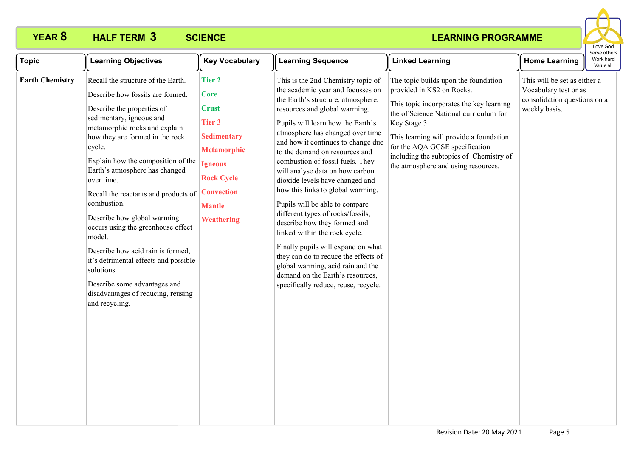

| <b>Topic</b><br><b>Learning Objectives</b>                                                                                                                                                                                                                                                                                                                                                                                                                                                                                                                                                                                                               | <b>Key Vocabulary</b>                                                                                                                                                                         | <b>Learning Sequence</b>                                                                                                                                                                                                                                                                                                                                                                                                                                                                                                                                                                                                                                                                                                                                                              | <b>Linked Learning</b>                                                                                                                                                                                                                                                                                                                 | <b>Home Learning</b>                                                                                   | Serve others<br>Work hard<br>Value all |
|----------------------------------------------------------------------------------------------------------------------------------------------------------------------------------------------------------------------------------------------------------------------------------------------------------------------------------------------------------------------------------------------------------------------------------------------------------------------------------------------------------------------------------------------------------------------------------------------------------------------------------------------------------|-----------------------------------------------------------------------------------------------------------------------------------------------------------------------------------------------|---------------------------------------------------------------------------------------------------------------------------------------------------------------------------------------------------------------------------------------------------------------------------------------------------------------------------------------------------------------------------------------------------------------------------------------------------------------------------------------------------------------------------------------------------------------------------------------------------------------------------------------------------------------------------------------------------------------------------------------------------------------------------------------|----------------------------------------------------------------------------------------------------------------------------------------------------------------------------------------------------------------------------------------------------------------------------------------------------------------------------------------|--------------------------------------------------------------------------------------------------------|----------------------------------------|
| <b>Earth Chemistry</b><br>Recall the structure of the Earth.<br>Describe how fossils are formed.<br>Describe the properties of<br>sedimentary, igneous and<br>metamorphic rocks and explain<br>how they are formed in the rock<br>cycle.<br>Explain how the composition of the<br>Earth's atmosphere has changed<br>over time.<br>Recall the reactants and products of<br>combustion.<br>Describe how global warming<br>occurs using the greenhouse effect<br>model.<br>Describe how acid rain is formed,<br>it's detrimental effects and possible<br>solutions.<br>Describe some advantages and<br>disadvantages of reducing, reusing<br>and recycling. | <b>Tier 2</b><br><b>Core</b><br><b>Crust</b><br>Tier 3<br><b>Sedimentary</b><br><b>Metamorphic</b><br><b>Igneous</b><br><b>Rock Cycle</b><br><b>Convection</b><br><b>Mantle</b><br>Weathering | This is the 2nd Chemistry topic of<br>the academic year and focusses on<br>the Earth's structure, atmosphere,<br>resources and global warming.<br>Pupils will learn how the Earth's<br>atmosphere has changed over time<br>and how it continues to change due<br>to the demand on resources and<br>combustion of fossil fuels. They<br>will analyse data on how carbon<br>dioxide levels have changed and<br>how this links to global warming.<br>Pupils will be able to compare<br>different types of rocks/fossils,<br>describe how they formed and<br>linked within the rock cycle.<br>Finally pupils will expand on what<br>they can do to reduce the effects of<br>global warming, acid rain and the<br>demand on the Earth's resources,<br>specifically reduce, reuse, recycle. | The topic builds upon the foundation<br>provided in KS2 on Rocks.<br>This topic incorporates the key learning<br>the of Science National curriculum for<br>Key Stage 3.<br>This learning will provide a foundation<br>for the AQA GCSE specification<br>including the subtopics of Chemistry of<br>the atmosphere and using resources. | This will be set as either a<br>Vocabulary test or as<br>consolidation questions on a<br>weekly basis. |                                        |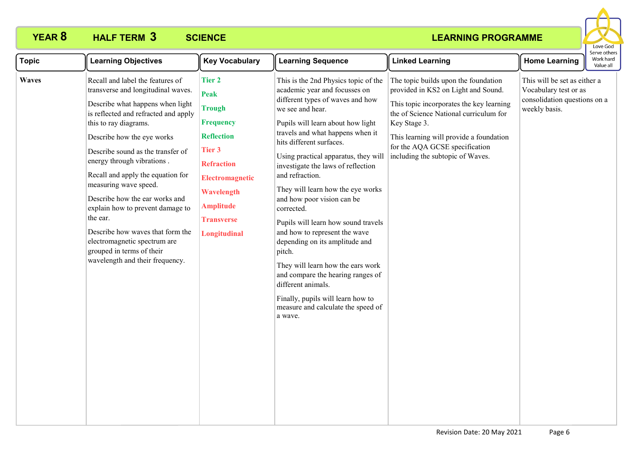

| <b>Topic</b> | <b>Learning Objectives</b>                                                                                                                                                                                                                                                                                                                                                                                                                                                                                                                                       | <b>Key Vocabulary</b>                                                                                                                                                                                                         | <b>Learning Sequence</b>                                                                                                                                                                                                                                                                                                                                                                                                                                                                                                                                                                                                                                                                                                       | <b>Linked Learning</b>                                                                                                                                                                                                                                                                             | <b>Home Learning</b>                                                                                   | Serve others<br>Work hard<br>Value all |
|--------------|------------------------------------------------------------------------------------------------------------------------------------------------------------------------------------------------------------------------------------------------------------------------------------------------------------------------------------------------------------------------------------------------------------------------------------------------------------------------------------------------------------------------------------------------------------------|-------------------------------------------------------------------------------------------------------------------------------------------------------------------------------------------------------------------------------|--------------------------------------------------------------------------------------------------------------------------------------------------------------------------------------------------------------------------------------------------------------------------------------------------------------------------------------------------------------------------------------------------------------------------------------------------------------------------------------------------------------------------------------------------------------------------------------------------------------------------------------------------------------------------------------------------------------------------------|----------------------------------------------------------------------------------------------------------------------------------------------------------------------------------------------------------------------------------------------------------------------------------------------------|--------------------------------------------------------------------------------------------------------|----------------------------------------|
| <b>Waves</b> | Recall and label the features of<br>transverse and longitudinal waves.<br>Describe what happens when light<br>is reflected and refracted and apply<br>this to ray diagrams.<br>Describe how the eye works<br>Describe sound as the transfer of<br>energy through vibrations.<br>Recall and apply the equation for<br>measuring wave speed.<br>Describe how the ear works and<br>explain how to prevent damage to<br>the ear.<br>Describe how waves that form the<br>electromagnetic spectrum are<br>grouped in terms of their<br>wavelength and their frequency. | <b>Tier 2</b><br><b>Peak</b><br><b>Trough</b><br><b>Frequency</b><br><b>Reflection</b><br><b>Tier 3</b><br><b>Refraction</b><br><b>Electromagnetic</b><br>Wavelength<br><b>Amplitude</b><br><b>Transverse</b><br>Longitudinal | This is the 2nd Physics topic of the<br>academic year and focusses on<br>different types of waves and how<br>we see and hear.<br>Pupils will learn about how light<br>travels and what happens when it<br>hits different surfaces.<br>Using practical apparatus, they will<br>investigate the laws of reflection<br>and refraction.<br>They will learn how the eye works<br>and how poor vision can be<br>corrected.<br>Pupils will learn how sound travels<br>and how to represent the wave<br>depending on its amplitude and<br>pitch.<br>They will learn how the ears work<br>and compare the hearing ranges of<br>different animals.<br>Finally, pupils will learn how to<br>measure and calculate the speed of<br>a wave. | The topic builds upon the foundation<br>provided in KS2 on Light and Sound.<br>This topic incorporates the key learning<br>the of Science National curriculum for<br>Key Stage 3.<br>This learning will provide a foundation<br>for the AQA GCSE specification<br>including the subtopic of Waves. | This will be set as either a<br>Vocabulary test or as<br>consolidation questions on a<br>weekly basis. |                                        |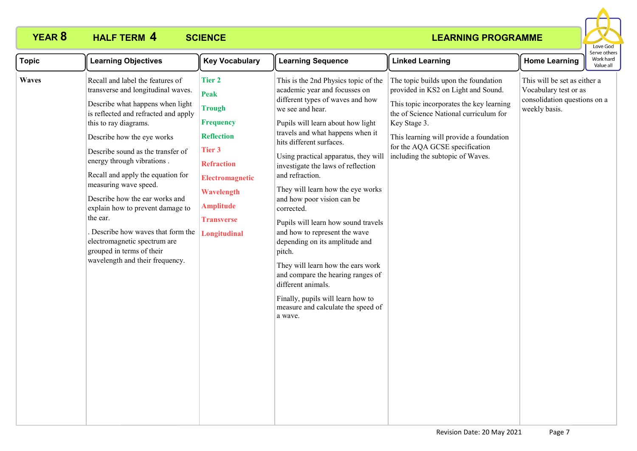

| <b>Topic</b> | <b>Learning Objectives</b>                                                                                                                                                                                                                                                                                                                                                                                                                                                                                                                                       | <b>Key Vocabulary</b>                                                                                                                                                                                           | <b>Learning Sequence</b>                                                                                                                                                                                                                                                                                                                                                                                                                                                                                                                                                                                                                                                                                                       | <b>Linked Learning</b>                                                                                                                                                                                                                                                                             | <b>Home Learning</b>                                                                                   | Serve others<br>Work hard<br>Value all |
|--------------|------------------------------------------------------------------------------------------------------------------------------------------------------------------------------------------------------------------------------------------------------------------------------------------------------------------------------------------------------------------------------------------------------------------------------------------------------------------------------------------------------------------------------------------------------------------|-----------------------------------------------------------------------------------------------------------------------------------------------------------------------------------------------------------------|--------------------------------------------------------------------------------------------------------------------------------------------------------------------------------------------------------------------------------------------------------------------------------------------------------------------------------------------------------------------------------------------------------------------------------------------------------------------------------------------------------------------------------------------------------------------------------------------------------------------------------------------------------------------------------------------------------------------------------|----------------------------------------------------------------------------------------------------------------------------------------------------------------------------------------------------------------------------------------------------------------------------------------------------|--------------------------------------------------------------------------------------------------------|----------------------------------------|
| Waves        | Recall and label the features of<br>transverse and longitudinal waves.<br>Describe what happens when light<br>is reflected and refracted and apply<br>this to ray diagrams.<br>Describe how the eye works<br>Describe sound as the transfer of<br>energy through vibrations.<br>Recall and apply the equation for<br>measuring wave speed.<br>Describe how the ear works and<br>explain how to prevent damage to<br>the ear.<br>Describe how waves that form the<br>electromagnetic spectrum are<br>grouped in terms of their<br>wavelength and their frequency. | <b>Tier 2</b><br>Peak<br><b>Trough</b><br><b>Frequency</b><br><b>Reflection</b><br><b>Tier 3</b><br><b>Refraction</b><br>Electromagnetic<br>Wavelength<br><b>Amplitude</b><br><b>Transverse</b><br>Longitudinal | This is the 2nd Physics topic of the<br>academic year and focusses on<br>different types of waves and how<br>we see and hear.<br>Pupils will learn about how light<br>travels and what happens when it<br>hits different surfaces.<br>Using practical apparatus, they will<br>investigate the laws of reflection<br>and refraction.<br>They will learn how the eye works<br>and how poor vision can be<br>corrected.<br>Pupils will learn how sound travels<br>and how to represent the wave<br>depending on its amplitude and<br>pitch.<br>They will learn how the ears work<br>and compare the hearing ranges of<br>different animals.<br>Finally, pupils will learn how to<br>measure and calculate the speed of<br>a wave. | The topic builds upon the foundation<br>provided in KS2 on Light and Sound.<br>This topic incorporates the key learning<br>the of Science National curriculum for<br>Key Stage 3.<br>This learning will provide a foundation<br>for the AQA GCSE specification<br>including the subtopic of Waves. | This will be set as either a<br>Vocabulary test or as<br>consolidation questions on a<br>weekly basis. |                                        |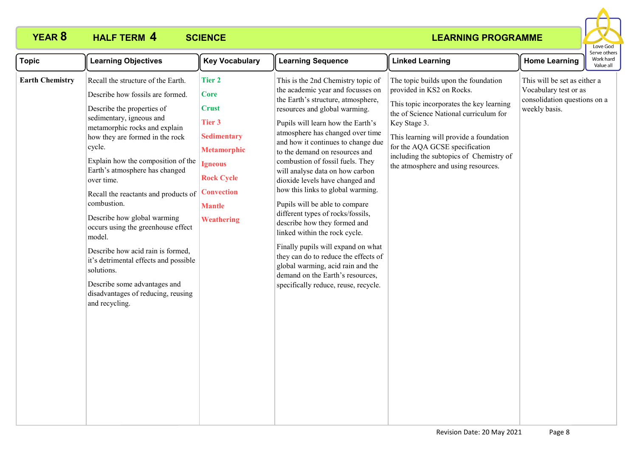

| <b>Topic</b>           | <b>Learning Objectives</b>                                                                                                                                                                                                                                                                                                                                                                                                                                                                                                                                                                                                     | <b>Key Vocabulary</b>                                                                                                                                                                                | <b>Learning Sequence</b>                                                                                                                                                                                                                                                                                                                                                                                                                                                                                                                                                                                                                                                                                                                                                              | <b>Linked Learning</b>                                                                                                                                                                                                                                                                                                                 | <b>Home Learning</b>                                                                                   | serve others<br>Work hard<br>Value all |
|------------------------|--------------------------------------------------------------------------------------------------------------------------------------------------------------------------------------------------------------------------------------------------------------------------------------------------------------------------------------------------------------------------------------------------------------------------------------------------------------------------------------------------------------------------------------------------------------------------------------------------------------------------------|------------------------------------------------------------------------------------------------------------------------------------------------------------------------------------------------------|---------------------------------------------------------------------------------------------------------------------------------------------------------------------------------------------------------------------------------------------------------------------------------------------------------------------------------------------------------------------------------------------------------------------------------------------------------------------------------------------------------------------------------------------------------------------------------------------------------------------------------------------------------------------------------------------------------------------------------------------------------------------------------------|----------------------------------------------------------------------------------------------------------------------------------------------------------------------------------------------------------------------------------------------------------------------------------------------------------------------------------------|--------------------------------------------------------------------------------------------------------|----------------------------------------|
| <b>Earth Chemistry</b> | Recall the structure of the Earth.<br>Describe how fossils are formed.<br>Describe the properties of<br>sedimentary, igneous and<br>metamorphic rocks and explain<br>how they are formed in the rock<br>cycle.<br>Explain how the composition of the<br>Earth's atmosphere has changed<br>over time.<br>Recall the reactants and products of<br>combustion.<br>Describe how global warming<br>occurs using the greenhouse effect<br>model.<br>Describe how acid rain is formed,<br>it's detrimental effects and possible<br>solutions.<br>Describe some advantages and<br>disadvantages of reducing, reusing<br>and recycling. | <b>Tier 2</b><br><b>Core</b><br><b>Crust</b><br><b>Tier 3</b><br><b>Sedimentary</b><br><b>Metamorphic</b><br><b>Igneous</b><br><b>Rock Cycle</b><br><b>Convection</b><br><b>Mantle</b><br>Weathering | This is the 2nd Chemistry topic of<br>the academic year and focusses on<br>the Earth's structure, atmosphere,<br>resources and global warming.<br>Pupils will learn how the Earth's<br>atmosphere has changed over time<br>and how it continues to change due<br>to the demand on resources and<br>combustion of fossil fuels. They<br>will analyse data on how carbon<br>dioxide levels have changed and<br>how this links to global warming.<br>Pupils will be able to compare<br>different types of rocks/fossils,<br>describe how they formed and<br>linked within the rock cycle.<br>Finally pupils will expand on what<br>they can do to reduce the effects of<br>global warming, acid rain and the<br>demand on the Earth's resources,<br>specifically reduce, reuse, recycle. | The topic builds upon the foundation<br>provided in KS2 on Rocks.<br>This topic incorporates the key learning<br>the of Science National curriculum for<br>Key Stage 3.<br>This learning will provide a foundation<br>for the AQA GCSE specification<br>including the subtopics of Chemistry of<br>the atmosphere and using resources. | This will be set as either a<br>Vocabulary test or as<br>consolidation questions on a<br>weekly basis. |                                        |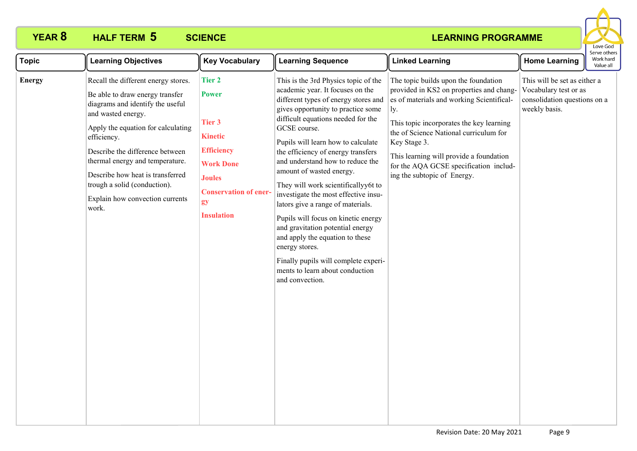

| <b>Topic</b>  | <b>Learning Objectives</b>                                                                                                                                                                                                                                                                                                                                                  | <b>Key Vocabulary</b>                                                                                                                                                                 | <b>Learning Sequence</b>                                                                                                                                                                                                                                                                                                                                                                                                                                                                                                                                                                                                                                                                                   | <b>Linked Learning</b>                                                                                                                                                                                                                                                                                                                                         | <b>Home Learning</b>                                                                                   | Work hard<br>Value all |  |
|---------------|-----------------------------------------------------------------------------------------------------------------------------------------------------------------------------------------------------------------------------------------------------------------------------------------------------------------------------------------------------------------------------|---------------------------------------------------------------------------------------------------------------------------------------------------------------------------------------|------------------------------------------------------------------------------------------------------------------------------------------------------------------------------------------------------------------------------------------------------------------------------------------------------------------------------------------------------------------------------------------------------------------------------------------------------------------------------------------------------------------------------------------------------------------------------------------------------------------------------------------------------------------------------------------------------------|----------------------------------------------------------------------------------------------------------------------------------------------------------------------------------------------------------------------------------------------------------------------------------------------------------------------------------------------------------------|--------------------------------------------------------------------------------------------------------|------------------------|--|
| <b>Energy</b> | Recall the different energy stores.<br>Be able to draw energy transfer<br>diagrams and identify the useful<br>and wasted energy.<br>Apply the equation for calculating<br>efficiency.<br>Describe the difference between<br>thermal energy and temperature.<br>Describe how heat is transferred<br>trough a solid (conduction).<br>Explain how convection currents<br>work. | <b>Tier 2</b><br><b>Power</b><br><b>Tier 3</b><br><b>Kinetic</b><br><b>Efficiency</b><br><b>Work Done</b><br><b>Joules</b><br><b>Conservation of ener-</b><br>gy<br><b>Insulation</b> | This is the 3rd Physics topic of the<br>academic year. It focuses on the<br>different types of energy stores and<br>gives opportunity to practice some<br>difficult equations needed for the<br>GCSE course.<br>Pupils will learn how to calculate<br>the efficiency of energy transfers<br>and understand how to reduce the<br>amount of wasted energy.<br>They will work scientificallyy6t to<br>investigate the most effective insu-<br>lators give a range of materials.<br>Pupils will focus on kinetic energy<br>and gravitation potential energy<br>and apply the equation to these<br>energy stores.<br>Finally pupils will complete experi-<br>ments to learn about conduction<br>and convection. | The topic builds upon the foundation<br>provided in KS2 on properties and chang-<br>es of materials and working Scientifical-<br>ly.<br>This topic incorporates the key learning<br>the of Science National curriculum for<br>Key Stage 3.<br>This learning will provide a foundation<br>for the AQA GCSE specification includ-<br>ing the subtopic of Energy. | This will be set as either a<br>Vocabulary test or as<br>consolidation questions on a<br>weekly basis. |                        |  |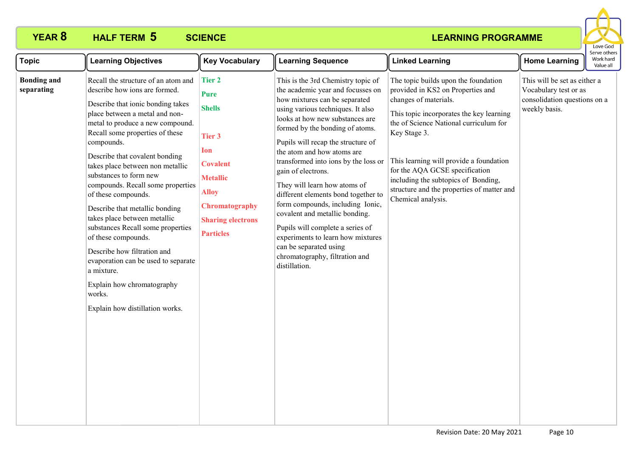

| <b>Topic</b>                     | <b>Learning Objectives</b>                                                                                                                                                                                                                                                                                                                                                                                                                                                                                                                                                                                                                                                                | <b>Key Vocabulary</b>                                                                                                                                                                  | <b>Learning Sequence</b>                                                                                                                                                                                                                                                                                                                                                                                                                                                                                                                                                                                                                                 | <b>Linked Learning</b>                                                                                                                                                                                                                                                                                                                                                                           | <b>Home Learning</b>                                                                                   | Serve others<br>Work hard<br>Value all |
|----------------------------------|-------------------------------------------------------------------------------------------------------------------------------------------------------------------------------------------------------------------------------------------------------------------------------------------------------------------------------------------------------------------------------------------------------------------------------------------------------------------------------------------------------------------------------------------------------------------------------------------------------------------------------------------------------------------------------------------|----------------------------------------------------------------------------------------------------------------------------------------------------------------------------------------|----------------------------------------------------------------------------------------------------------------------------------------------------------------------------------------------------------------------------------------------------------------------------------------------------------------------------------------------------------------------------------------------------------------------------------------------------------------------------------------------------------------------------------------------------------------------------------------------------------------------------------------------------------|--------------------------------------------------------------------------------------------------------------------------------------------------------------------------------------------------------------------------------------------------------------------------------------------------------------------------------------------------------------------------------------------------|--------------------------------------------------------------------------------------------------------|----------------------------------------|
| <b>Bonding and</b><br>separating | Recall the structure of an atom and<br>describe how ions are formed.<br>Describe that ionic bonding takes<br>place between a metal and non-<br>metal to produce a new compound.<br>Recall some properties of these<br>compounds.<br>Describe that covalent bonding<br>takes place between non metallic<br>substances to form new<br>compounds. Recall some properties<br>of these compounds.<br>Describe that metallic bonding<br>takes place between metallic<br>substances Recall some properties<br>of these compounds.<br>Describe how filtration and<br>evaporation can be used to separate<br>a mixture.<br>Explain how chromatography<br>works.<br>Explain how distillation works. | <b>Tier 2</b><br><b>Pure</b><br><b>Shells</b><br>Tier 3<br>Ion<br><b>Covalent</b><br><b>Metallic</b><br><b>Alloy</b><br>Chromatography<br><b>Sharing electrons</b><br><b>Particles</b> | This is the 3rd Chemistry topic of<br>the academic year and focusses on<br>how mixtures can be separated<br>using various techniques. It also<br>looks at how new substances are<br>formed by the bonding of atoms.<br>Pupils will recap the structure of<br>the atom and how atoms are<br>transformed into ions by the loss or<br>gain of electrons.<br>They will learn how atoms of<br>different elements bond together to<br>form compounds, including Ionic,<br>covalent and metallic bonding.<br>Pupils will complete a series of<br>experiments to learn how mixtures<br>can be separated using<br>chromatography, filtration and<br>distillation. | The topic builds upon the foundation<br>provided in KS2 on Properties and<br>changes of materials.<br>This topic incorporates the key learning<br>the of Science National curriculum for<br>Key Stage 3.<br>This learning will provide a foundation<br>for the AQA GCSE specification<br>including the subtopics of Bonding,<br>structure and the properties of matter and<br>Chemical analysis. | This will be set as either a<br>Vocabulary test or as<br>consolidation questions on a<br>weekly basis. |                                        |